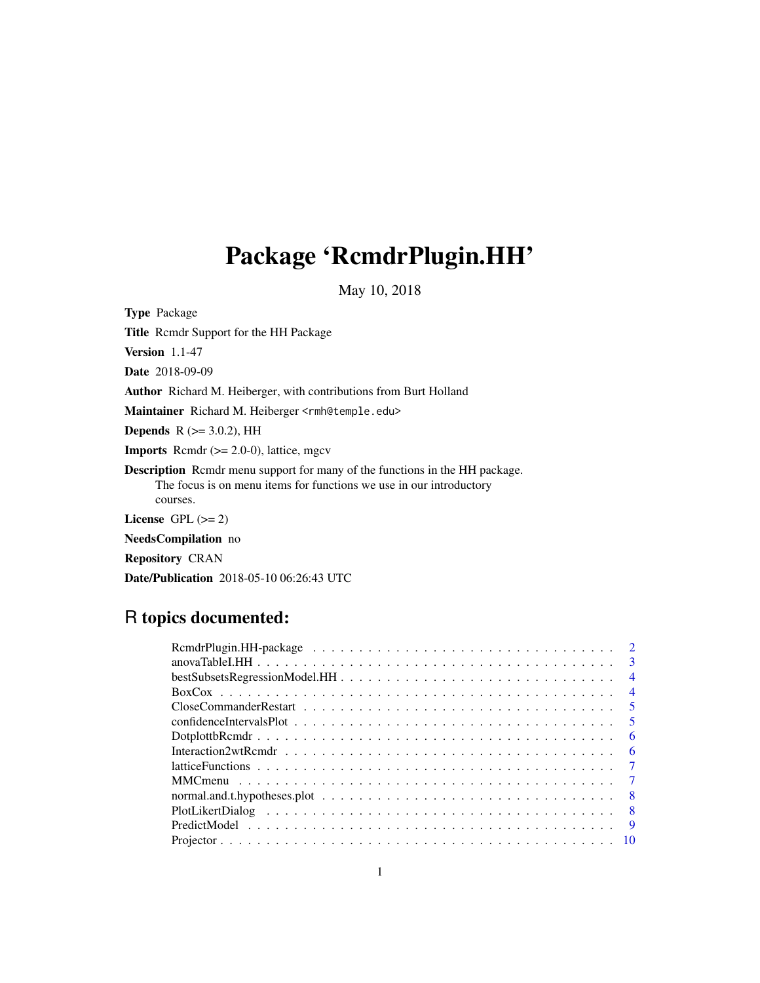# <span id="page-0-0"></span>Package 'RcmdrPlugin.HH'

May 10, 2018

Type Package

Title Rcmdr Support for the HH Package Version 1.1-47 Date 2018-09-09 Author Richard M. Heiberger, with contributions from Burt Holland Maintainer Richard M. Heiberger <rmh@temple.edu> **Depends** R  $(>= 3.0.2)$ , HH **Imports** Rcmdr  $(>= 2.0-0)$ , lattice, mgcv Description Rcmdr menu support for many of the functions in the HH package. The focus is on menu items for functions we use in our introductory courses. License GPL  $(>= 2)$ NeedsCompilation no Repository CRAN

# Date/Publication 2018-05-10 06:26:43 UTC

# R topics documented:

| $\overline{4}$                                                                                                                     |
|------------------------------------------------------------------------------------------------------------------------------------|
| $\overline{4}$                                                                                                                     |
| $\sqrt{5}$                                                                                                                         |
| $\sqrt{5}$                                                                                                                         |
| - 6                                                                                                                                |
| - 6                                                                                                                                |
|                                                                                                                                    |
|                                                                                                                                    |
| $\mathbf{R}$<br>normal.and.t.hypotheses.plot $\dots \dots \dots \dots \dots \dots \dots \dots \dots \dots \dots \dots \dots \dots$ |
|                                                                                                                                    |
| $\overline{9}$                                                                                                                     |
|                                                                                                                                    |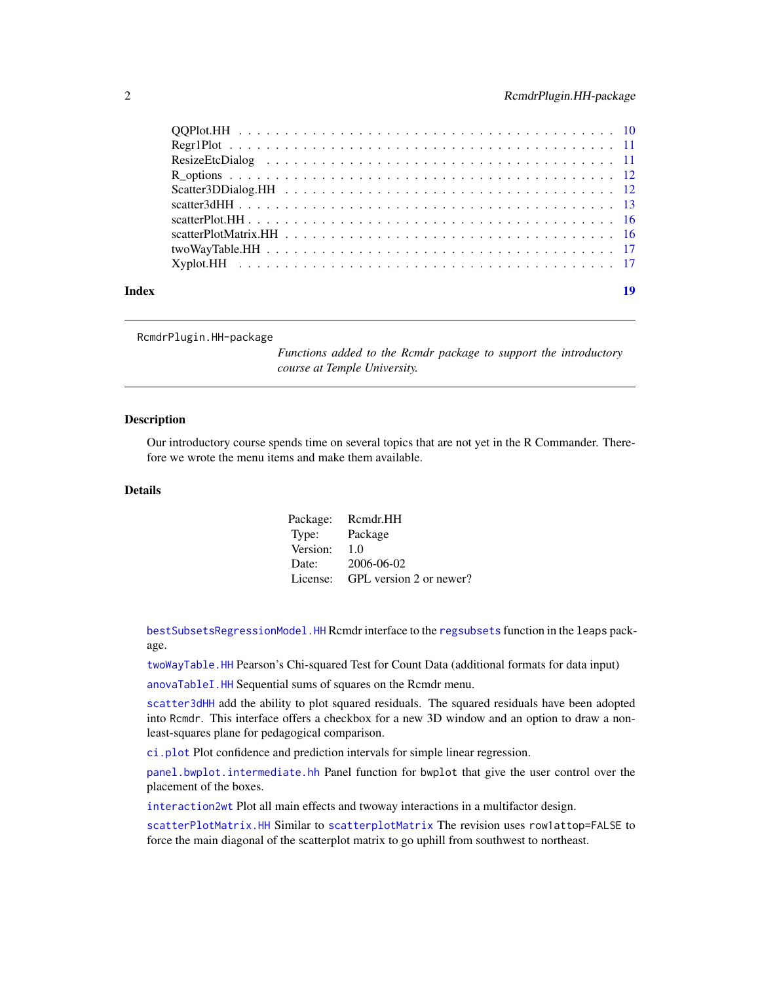<span id="page-1-0"></span>

| Index |  |
|-------|--|
|       |  |
|       |  |
|       |  |
|       |  |
|       |  |
|       |  |
|       |  |
|       |  |
|       |  |
|       |  |

RcmdrPlugin.HH-package

*Functions added to the Rcmdr package to support the introductory course at Temple University.*

#### Description

Our introductory course spends time on several topics that are not yet in the R Commander. Therefore we wrote the menu items and make them available.

### Details

|          | Package: Rcmdr.HH                |
|----------|----------------------------------|
| Type:    | Package                          |
| Version: | 1.0                              |
| Date:    | 2006-06-02                       |
|          | License: GPL version 2 or newer? |

[bestSubsetsRegressionModel.HH](#page-3-1) Rcmdr interface to the [regsubsets](#page-0-0) function in the leaps package.

[twoWayTable.HH](#page-16-1) Pearson's Chi-squared Test for Count Data (additional formats for data input)

[anovaTableI.HH](#page-2-1) Sequential sums of squares on the Rcmdr menu.

[scatter3dHH](#page-12-1) add the ability to plot squared residuals. The squared residuals have been adopted into Rcmdr. This interface offers a checkbox for a new 3D window and an option to draw a nonleast-squares plane for pedagogical comparison.

[ci.plot](#page-0-0) Plot confidence and prediction intervals for simple linear regression.

[panel.bwplot.intermediate.hh](#page-0-0) Panel function for bwplot that give the user control over the placement of the boxes.

[interaction2wt](#page-0-0) Plot all main effects and twoway interactions in a multifactor design.

[scatterPlotMatrix.HH](#page-15-1) Similar to [scatterplotMatrix](#page-0-0) The revision uses row1attop=FALSE to force the main diagonal of the scatterplot matrix to go uphill from southwest to northeast.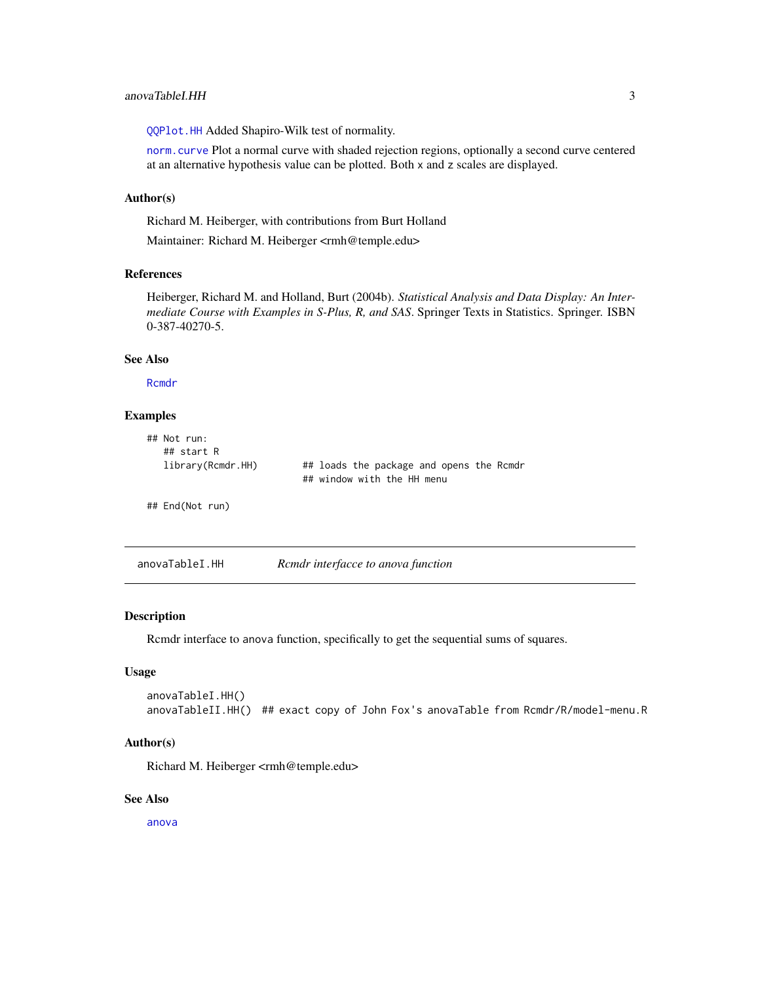<span id="page-2-0"></span>[QQPlot.HH](#page-9-1) Added Shapiro-Wilk test of normality.

[norm.curve](#page-0-0) Plot a normal curve with shaded rejection regions, optionally a second curve centered at an alternative hypothesis value can be plotted. Both x and z scales are displayed.

#### Author(s)

Richard M. Heiberger, with contributions from Burt Holland

Maintainer: Richard M. Heiberger <rmh@temple.edu>

#### References

Heiberger, Richard M. and Holland, Burt (2004b). *Statistical Analysis and Data Display: An Intermediate Course with Examples in S-Plus, R, and SAS*. Springer Texts in Statistics. Springer. ISBN 0-387-40270-5.

#### See Also

[Rcmdr](#page-0-0)

#### Examples

| $\#$ # Not run:<br>## start R |                                                                        |
|-------------------------------|------------------------------------------------------------------------|
| library(Rcmdr.HH)             | ## loads the package and opens the Rcmdr<br>## window with the HH menu |
| ## End(Not run)               |                                                                        |

<span id="page-2-1"></span>

| anovaTableI.HH | Rcmdr interfacce to anova function |  |
|----------------|------------------------------------|--|
|                |                                    |  |

#### Description

Rcmdr interface to anova function, specifically to get the sequential sums of squares.

#### Usage

```
anovaTableI.HH()
anovaTableII.HH() ## exact copy of John Fox's anovaTable from Rcmdr/R/model-menu.R
```
#### Author(s)

Richard M. Heiberger <rmh@temple.edu>

#### See Also

[anova](#page-0-0)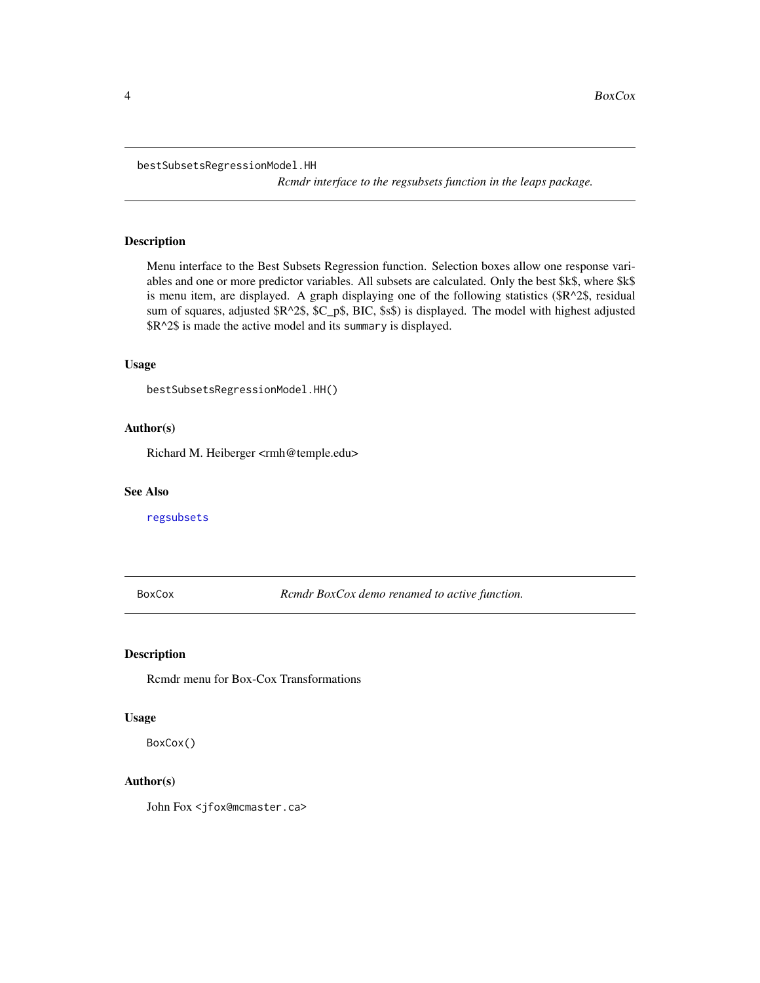<span id="page-3-1"></span><span id="page-3-0"></span>bestSubsetsRegressionModel.HH

*Rcmdr interface to the regsubsets function in the leaps package.*

#### Description

Menu interface to the Best Subsets Regression function. Selection boxes allow one response variables and one or more predictor variables. All subsets are calculated. Only the best \$k\$, where \$k\$ is menu item, are displayed. A graph displaying one of the following statistics (\$R^2\$, residual sum of squares, adjusted  $R^2$$ \$,  $C_p$$ ,  $BIC$ ,  $$s$$ ) is displayed. The model with highest adjusted \$R^2\$ is made the active model and its summary is displayed.

#### Usage

```
bestSubsetsRegressionModel.HH()
```
#### Author(s)

Richard M. Heiberger <rmh@temple.edu>

#### See Also

[regsubsets](#page-0-0)

BoxCox *Rcmdr BoxCox demo renamed to active function.*

#### Description

Rcmdr menu for Box-Cox Transformations

#### Usage

BoxCox()

#### Author(s)

John Fox <jfox@mcmaster.ca>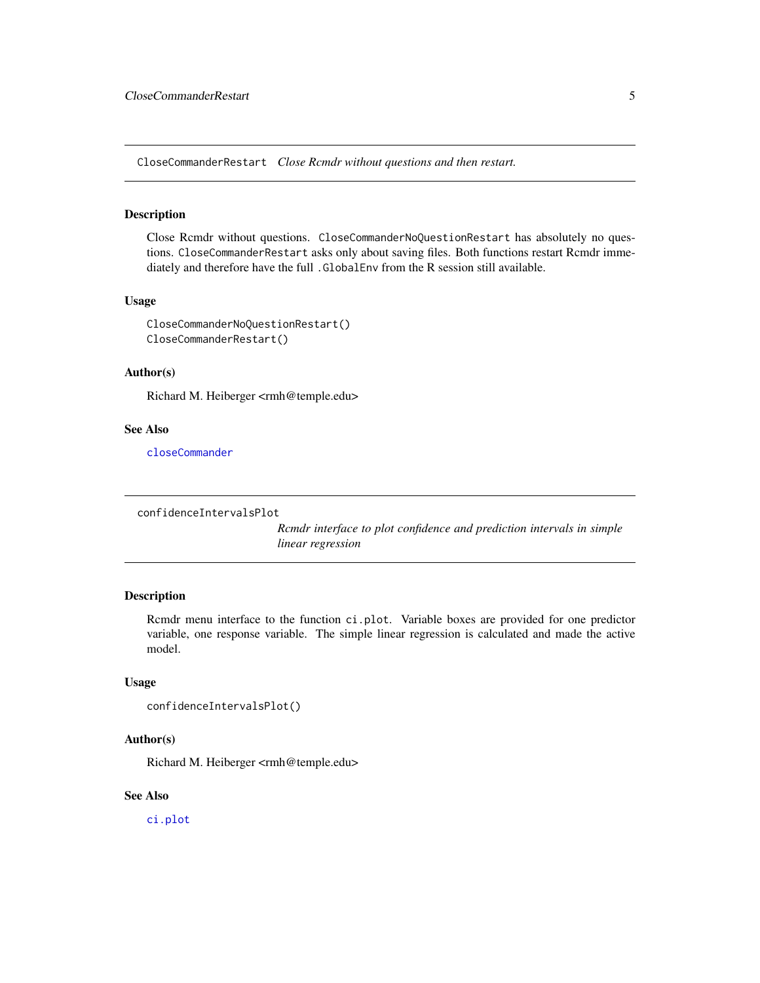<span id="page-4-0"></span>CloseCommanderRestart *Close Rcmdr without questions and then restart.*

#### Description

Close Rcmdr without questions. CloseCommanderNoQuestionRestart has absolutely no questions. CloseCommanderRestart asks only about saving files. Both functions restart Rcmdr immediately and therefore have the full .GlobalEnv from the R session still available.

#### Usage

CloseCommanderNoQuestionRestart() CloseCommanderRestart()

#### Author(s)

Richard M. Heiberger <rmh@temple.edu>

#### See Also

[closeCommander](#page-0-0)

confidenceIntervalsPlot

*Rcmdr interface to plot confidence and prediction intervals in simple linear regression*

#### Description

Rcmdr menu interface to the function ci.plot. Variable boxes are provided for one predictor variable, one response variable. The simple linear regression is calculated and made the active model.

#### Usage

```
confidenceIntervalsPlot()
```
#### Author(s)

Richard M. Heiberger <rmh@temple.edu>

#### See Also

[ci.plot](#page-0-0)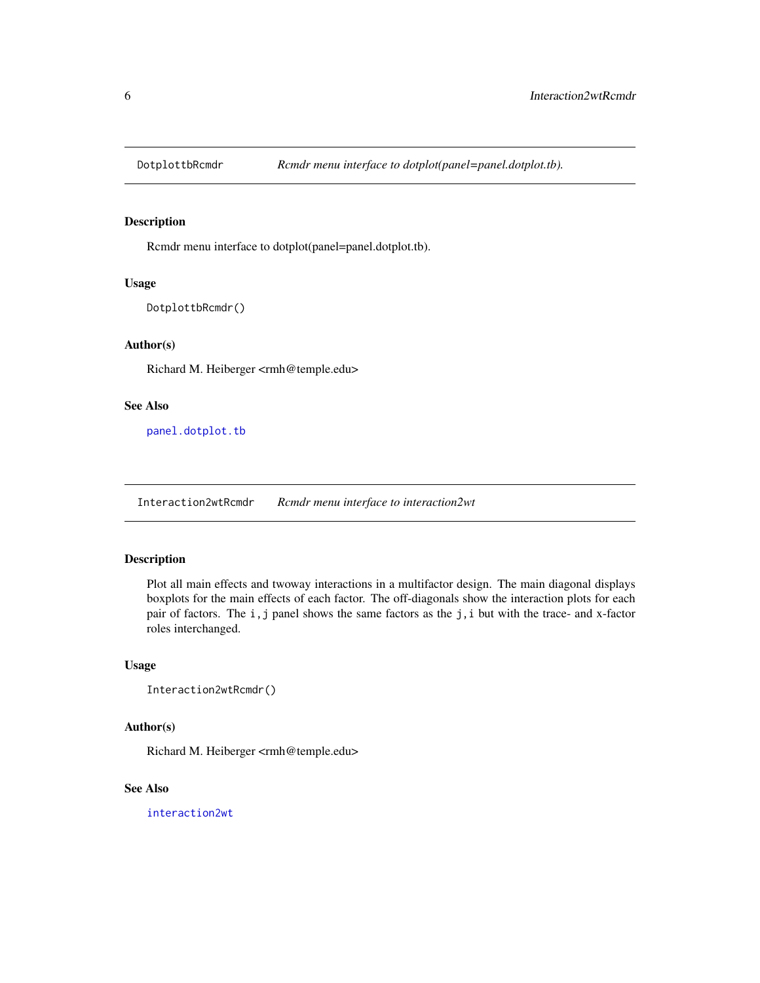<span id="page-5-0"></span>

#### Description

Rcmdr menu interface to dotplot(panel=panel.dotplot.tb).

#### Usage

DotplottbRcmdr()

#### Author(s)

Richard M. Heiberger <rmh@temple.edu>

#### See Also

[panel.dotplot.tb](#page-0-0)

Interaction2wtRcmdr *Rcmdr menu interface to interaction2wt*

## Description

Plot all main effects and twoway interactions in a multifactor design. The main diagonal displays boxplots for the main effects of each factor. The off-diagonals show the interaction plots for each pair of factors. The i, j panel shows the same factors as the j, i but with the trace- and x-factor roles interchanged.

#### Usage

Interaction2wtRcmdr()

#### Author(s)

Richard M. Heiberger <rmh@temple.edu>

#### See Also

[interaction2wt](#page-0-0)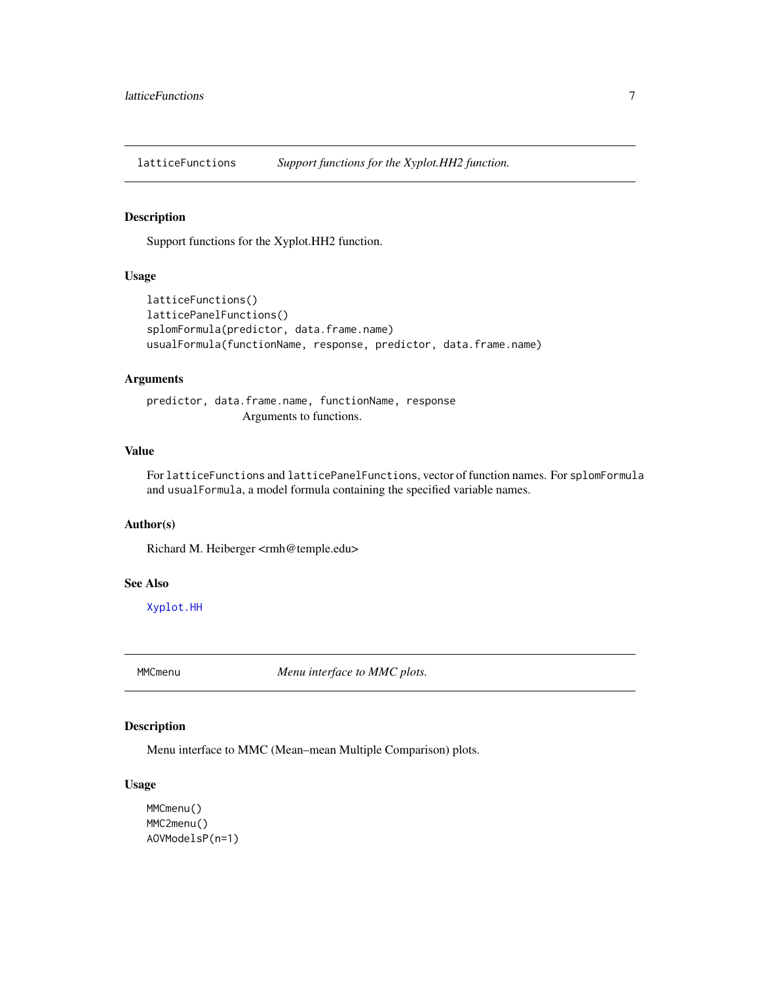<span id="page-6-0"></span>latticeFunctions *Support functions for the Xyplot.HH2 function.*

#### Description

Support functions for the Xyplot.HH2 function.

#### Usage

```
latticeFunctions()
latticePanelFunctions()
splomFormula(predictor, data.frame.name)
usualFormula(functionName, response, predictor, data.frame.name)
```
#### Arguments

predictor, data.frame.name, functionName, response Arguments to functions.

# Value

For latticeFunctions and latticePanelFunctions, vector of function names. For splomFormula and usualFormula, a model formula containing the specified variable names.

#### Author(s)

Richard M. Heiberger <rmh@temple.edu>

#### See Also

[Xyplot.HH](#page-16-2)

MMCmenu *Menu interface to MMC plots.*

#### Description

Menu interface to MMC (Mean–mean Multiple Comparison) plots.

#### Usage

```
MMCmenu()
MMC2menu()
AOVModelsP(n=1)
```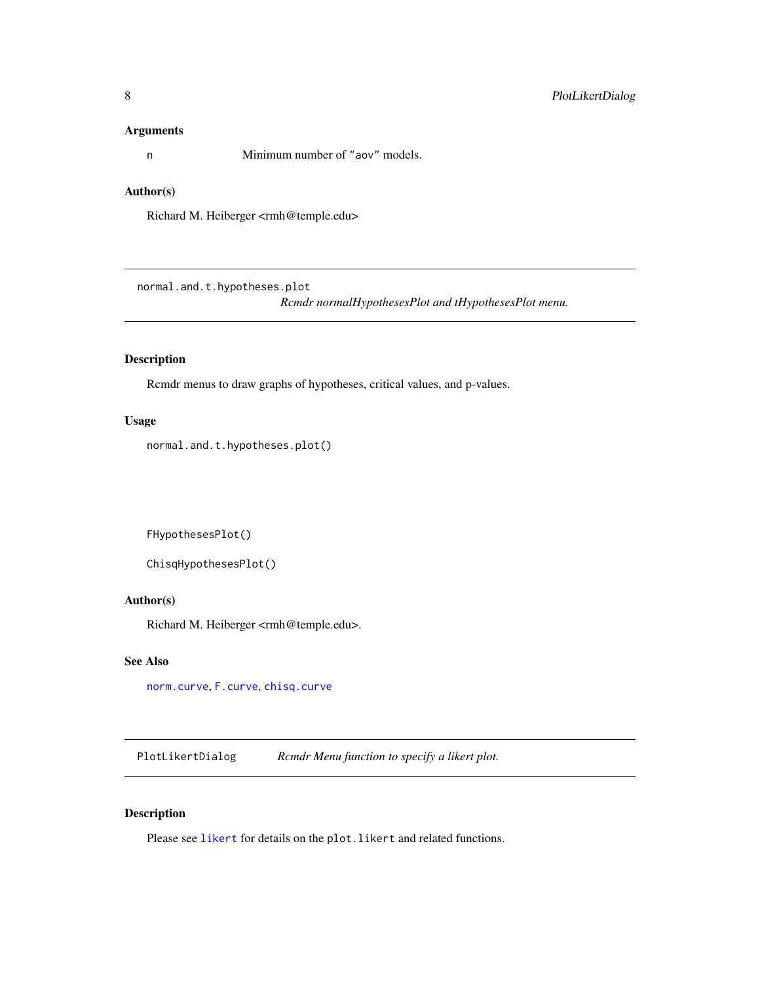#### <span id="page-7-0"></span>Arguments

n Minimum number of "aov" models.

# Author(s)

Richard M. Heiberger <rmh@temple.edu>

normal.and.t.hypotheses.plot

*Rcmdr normalHypothesesPlot and tHypothesesPlot menu.*

#### Description

Rcmdr menus to draw graphs of hypotheses, critical values, and p-values.

#### Usage

normal.and.t.hypotheses.plot()

FHypothesesPlot()

```
ChisqHypothesesPlot()
```
#### Author(s)

Richard M. Heiberger <rmh@temple.edu>.

#### See Also

[norm.curve](#page-0-0), [F.curve](#page-0-0), [chisq.curve](#page-0-0)

PlotLikertDialog *Rcmdr Menu function to specify a likert plot.*

#### Description

Please see [likert](#page-0-0) for details on the plot. likert and related functions.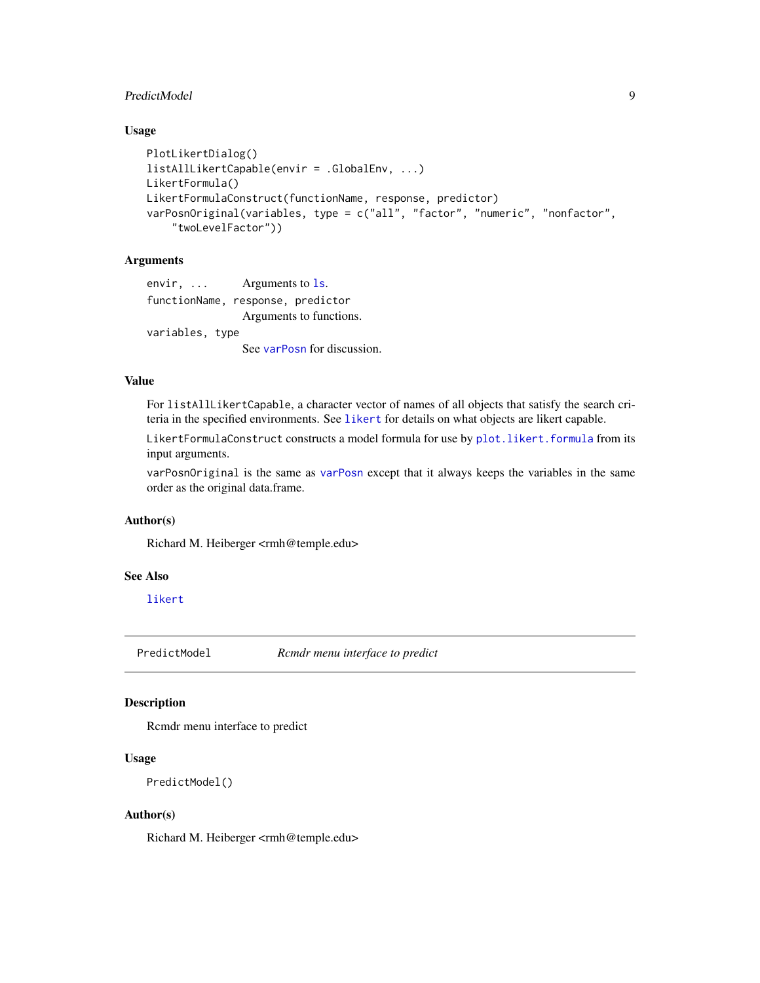#### <span id="page-8-0"></span>PredictModel 9

#### Usage

```
PlotLikertDialog()
listAllLikertCapable(envir = .GlobalEnv, ...)
LikertFormula()
LikertFormulaConstruct(functionName, response, predictor)
varPosnOriginal(variables, type = c("all", "factor", "numeric", "nonfactor",
    "twoLevelFactor"))
```
#### Arguments

envir, ... Arguments to 1s. functionName, response, predictor Arguments to functions. variables, type See [varPosn](#page-0-0) for discussion.

#### Value

For listAllLikertCapable, a character vector of names of all objects that satisfy the search criteria in the specified environments. See [likert](#page-0-0) for details on what objects are likert capable.

LikertFormulaConstruct constructs a model formula for use by [plot.likert.formula](#page-0-0) from its input arguments.

varPosnOriginal is the same as [varPosn](#page-0-0) except that it always keeps the variables in the same order as the original data.frame.

#### Author(s)

Richard M. Heiberger <rmh@temple.edu>

#### See Also

[likert](#page-0-0)

PredictModel *Rcmdr menu interface to predict*

#### Description

Rcmdr menu interface to predict

#### Usage

```
PredictModel()
```
#### Author(s)

Richard M. Heiberger <rmh@temple.edu>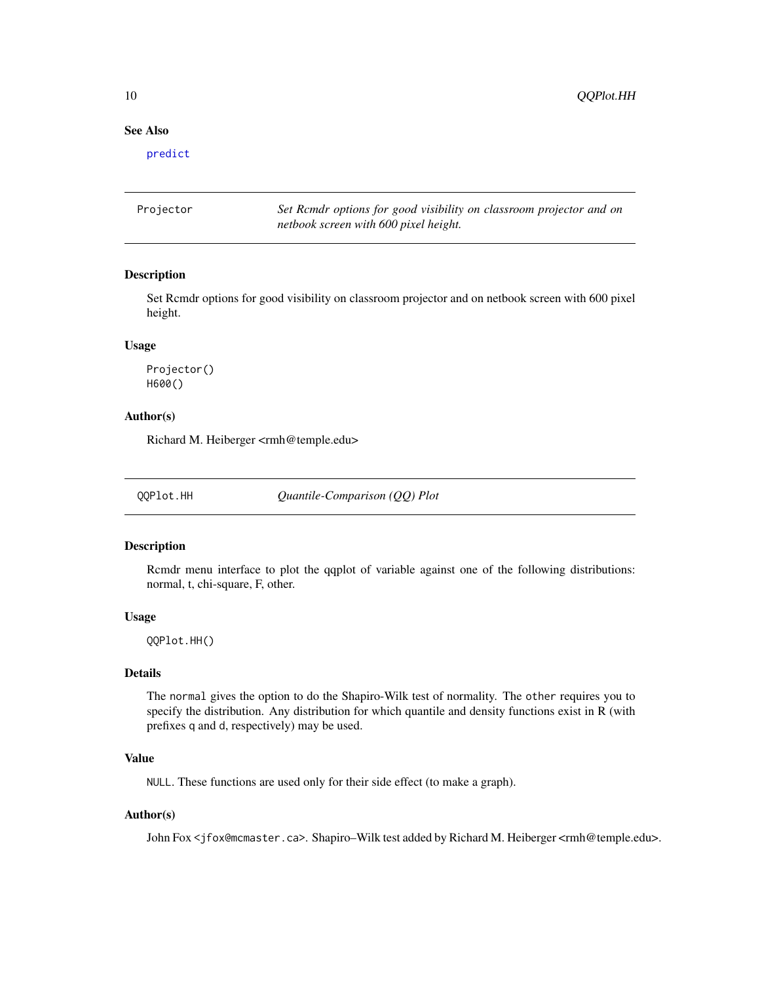#### See Also

[predict](#page-0-0)

| Projector | Set Rendr options for good visibility on classroom projector and on |
|-----------|---------------------------------------------------------------------|
|           | netbook screen with 600 pixel height.                               |

#### Description

Set Rcmdr options for good visibility on classroom projector and on netbook screen with 600 pixel height.

#### Usage

Projector() H600()

#### Author(s)

Richard M. Heiberger <rmh@temple.edu>

<span id="page-9-1"></span>QQPlot.HH *Quantile-Comparison (QQ) Plot*

#### Description

Rcmdr menu interface to plot the qqplot of variable against one of the following distributions: normal, t, chi-square, F, other.

#### Usage

QQPlot.HH()

#### Details

The normal gives the option to do the Shapiro-Wilk test of normality. The other requires you to specify the distribution. Any distribution for which quantile and density functions exist in R (with prefixes q and d, respectively) may be used.

#### Value

NULL. These functions are used only for their side effect (to make a graph).

#### Author(s)

John Fox <jfox@mcmaster.ca>. Shapiro–Wilk test added by Richard M. Heiberger <rmh@temple.edu>.

<span id="page-9-0"></span>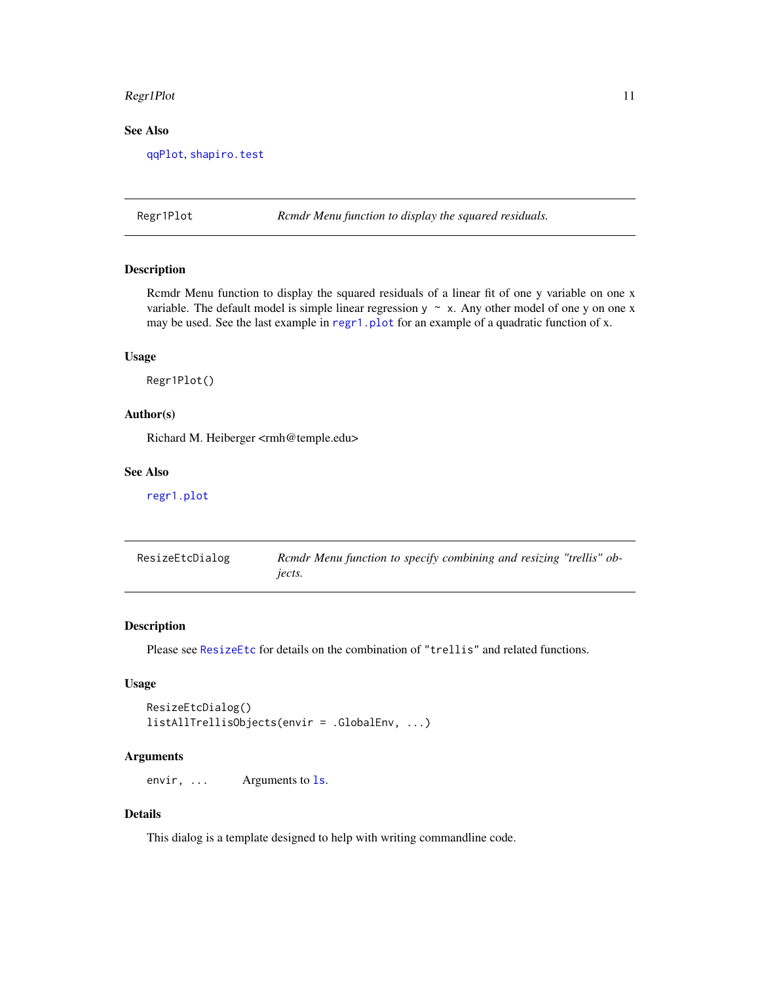#### <span id="page-10-0"></span>Regr1Plot 11

#### See Also

[qqPlot](#page-0-0), [shapiro.test](#page-0-0)

Regr1Plot *Rcmdr Menu function to display the squared residuals.*

#### Description

Rcmdr Menu function to display the squared residuals of a linear fit of one y variable on one x variable. The default model is simple linear regression  $y \sim x$ . Any other model of one y on one x may be used. See the last example in [regr1.plot](#page-0-0) for an example of a quadratic function of x.

#### Usage

Regr1Plot()

#### Author(s)

Richard M. Heiberger <rmh@temple.edu>

#### See Also

[regr1.plot](#page-0-0)

| ResizeEtcDialog | Rcmdr Menu function to specify combining and resizing "trellis" ob- |
|-----------------|---------------------------------------------------------------------|
|                 | jects.                                                              |

#### Description

Please see [ResizeEtc](#page-0-0) for details on the combination of "trellis" and related functions.

#### Usage

```
ResizeEtcDialog()
listAllTrellisObjects(envir = .GlobalEnv, ...)
```
#### Arguments

envir, ... Arguments to 1s.

#### Details

This dialog is a template designed to help with writing commandline code.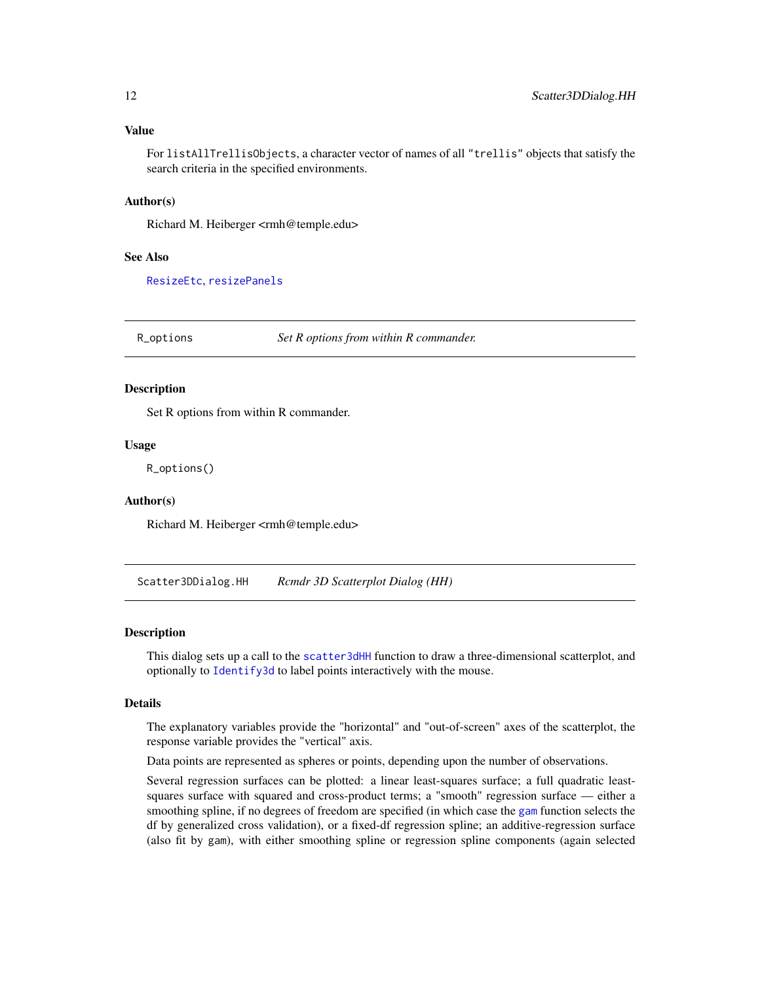#### <span id="page-11-0"></span>Value

For listAllTrellisObjects, a character vector of names of all "trellis" objects that satisfy the search criteria in the specified environments.

#### Author(s)

Richard M. Heiberger <rmh@temple.edu>

#### See Also

[ResizeEtc](#page-0-0), [resizePanels](#page-0-0)

R\_options *Set R options from within R commander.*

#### Description

Set R options from within R commander.

#### Usage

R\_options()

#### Author(s)

Richard M. Heiberger <rmh@temple.edu>

Scatter3DDialog.HH *Rcmdr 3D Scatterplot Dialog (HH)*

#### Description

This dialog sets up a call to the [scatter3dHH](#page-12-1) function to draw a three-dimensional scatterplot, and optionally to [Identify3d](#page-0-0) to label points interactively with the mouse.

#### Details

The explanatory variables provide the "horizontal" and "out-of-screen" axes of the scatterplot, the response variable provides the "vertical" axis.

Data points are represented as spheres or points, depending upon the number of observations.

Several regression surfaces can be plotted: a linear least-squares surface; a full quadratic leastsquares surface with squared and cross-product terms; a "smooth" regression surface — either a smoothing spline, if no degrees of freedom are specified (in which case the [gam](#page-0-0) function selects the df by generalized cross validation), or a fixed-df regression spline; an additive-regression surface (also fit by gam), with either smoothing spline or regression spline components (again selected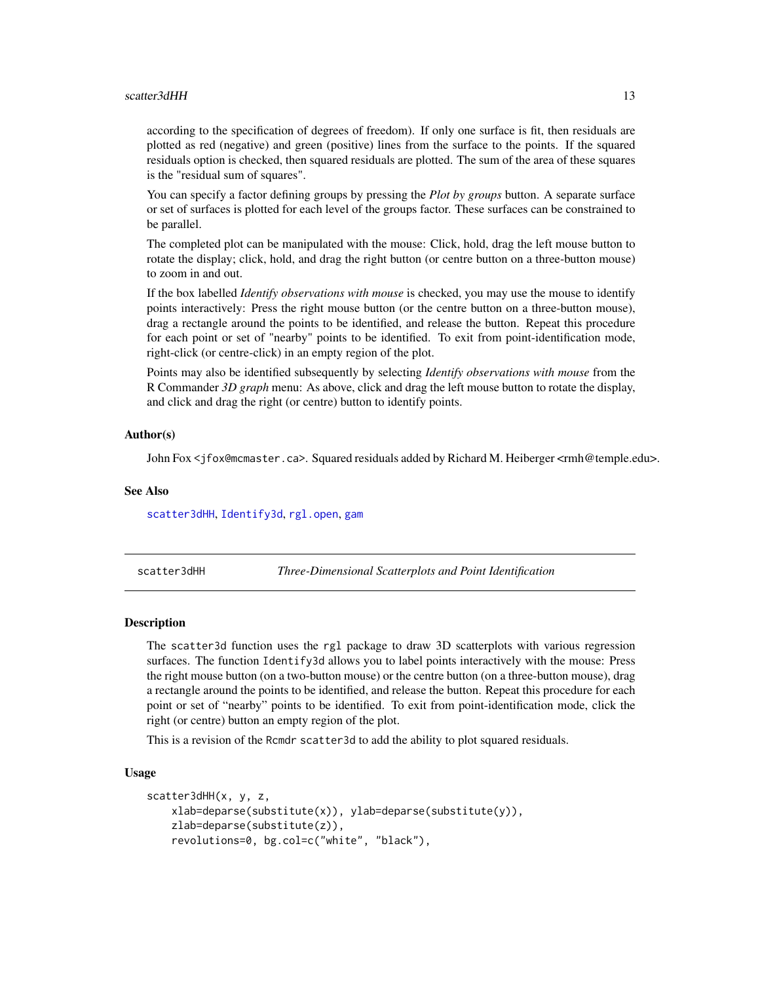#### <span id="page-12-0"></span>scatter3dHH 13

according to the specification of degrees of freedom). If only one surface is fit, then residuals are plotted as red (negative) and green (positive) lines from the surface to the points. If the squared residuals option is checked, then squared residuals are plotted. The sum of the area of these squares is the "residual sum of squares".

You can specify a factor defining groups by pressing the *Plot by groups* button. A separate surface or set of surfaces is plotted for each level of the groups factor. These surfaces can be constrained to be parallel.

The completed plot can be manipulated with the mouse: Click, hold, drag the left mouse button to rotate the display; click, hold, and drag the right button (or centre button on a three-button mouse) to zoom in and out.

If the box labelled *Identify observations with mouse* is checked, you may use the mouse to identify points interactively: Press the right mouse button (or the centre button on a three-button mouse), drag a rectangle around the points to be identified, and release the button. Repeat this procedure for each point or set of "nearby" points to be identified. To exit from point-identification mode, right-click (or centre-click) in an empty region of the plot.

Points may also be identified subsequently by selecting *Identify observations with mouse* from the R Commander *3D graph* menu: As above, click and drag the left mouse button to rotate the display, and click and drag the right (or centre) button to identify points.

#### Author(s)

John Fox <jfox@mcmaster.ca>. Squared residuals added by Richard M. Heiberger <rmh@temple.edu>.

#### See Also

[scatter3dHH](#page-12-1), [Identify3d](#page-0-0), [rgl.open](#page-0-0), [gam](#page-0-0)

<span id="page-12-1"></span>scatter3dHH *Three-Dimensional Scatterplots and Point Identification*

#### **Description**

The scatter3d function uses the rgl package to draw 3D scatterplots with various regression surfaces. The function Identify3d allows you to label points interactively with the mouse: Press the right mouse button (on a two-button mouse) or the centre button (on a three-button mouse), drag a rectangle around the points to be identified, and release the button. Repeat this procedure for each point or set of "nearby" points to be identified. To exit from point-identification mode, click the right (or centre) button an empty region of the plot.

This is a revision of the Rcmdr scatter3d to add the ability to plot squared residuals.

#### Usage

```
scatter3dHH(x, y, z,
   xlab=deparse(substitute(x)), ylab=deparse(substitute(y)),
   zlab=deparse(substitute(z)),
   revolutions=0, bg.col=c("white", "black"),
```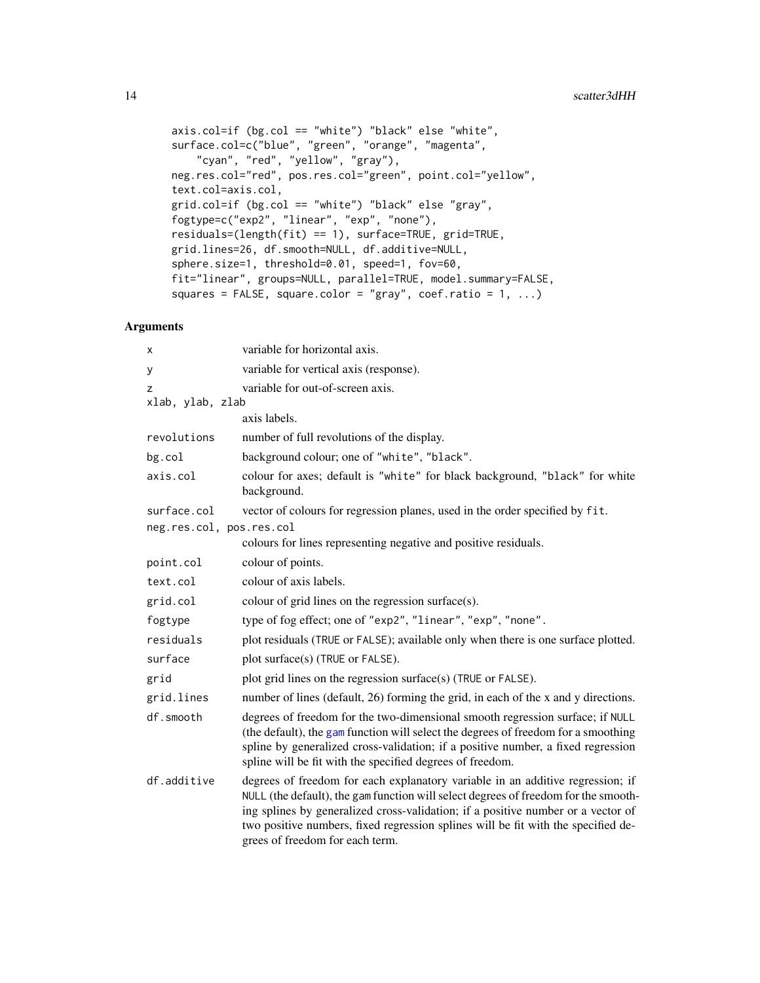```
axis.col=if (bg.col == "white") "black" else "white",
surface.col=c("blue", "green", "orange", "magenta",
   "cyan", "red", "yellow", "gray"),
neg.res.col="red", pos.res.col="green", point.col="yellow",
text.col=axis.col,
grid.col=if (bg.col == "white") "black" else "gray",
fogtype=c("exp2", "linear", "exp", "none"),
residuals=(length(fit) == 1), surface=TRUE, grid=TRUE,
grid.lines=26, df.smooth=NULL, df.additive=NULL,
sphere.size=1, threshold=0.01, speed=1, fov=60,
fit="linear", groups=NULL, parallel=TRUE, model.summary=FALSE,
squares = FALSE, square.color = "gray", coef.ratio = 1, ...)
```
#### Arguments

| х                        | variable for horizontal axis.                                                                                                                                                                                                                                                                                                                                                     |
|--------------------------|-----------------------------------------------------------------------------------------------------------------------------------------------------------------------------------------------------------------------------------------------------------------------------------------------------------------------------------------------------------------------------------|
| у                        | variable for vertical axis (response).                                                                                                                                                                                                                                                                                                                                            |
| Z<br>xlab, ylab, zlab    | variable for out-of-screen axis.                                                                                                                                                                                                                                                                                                                                                  |
|                          | axis labels.                                                                                                                                                                                                                                                                                                                                                                      |
| revolutions              | number of full revolutions of the display.                                                                                                                                                                                                                                                                                                                                        |
| bg.col                   | background colour; one of "white", "black".                                                                                                                                                                                                                                                                                                                                       |
| axis.col                 | colour for axes; default is "white" for black background, "black" for white<br>background.                                                                                                                                                                                                                                                                                        |
| surface.col              | vector of colours for regression planes, used in the order specified by fit.                                                                                                                                                                                                                                                                                                      |
| neg.res.col, pos.res.col |                                                                                                                                                                                                                                                                                                                                                                                   |
|                          | colours for lines representing negative and positive residuals.                                                                                                                                                                                                                                                                                                                   |
| point.col                | colour of points.                                                                                                                                                                                                                                                                                                                                                                 |
| text.col                 | colour of axis labels.                                                                                                                                                                                                                                                                                                                                                            |
| grid.col                 | colour of grid lines on the regression surface(s).                                                                                                                                                                                                                                                                                                                                |
| fogtype                  | type of fog effect; one of "exp2", "linear", "exp", "none".                                                                                                                                                                                                                                                                                                                       |
| residuals                | plot residuals (TRUE or FALSE); available only when there is one surface plotted.                                                                                                                                                                                                                                                                                                 |
| surface                  | plot surface(s) (TRUE or FALSE).                                                                                                                                                                                                                                                                                                                                                  |
| grid                     | plot grid lines on the regression surface(s) (TRUE or FALSE).                                                                                                                                                                                                                                                                                                                     |
| grid.lines               | number of lines (default, 26) forming the grid, in each of the x and y directions.                                                                                                                                                                                                                                                                                                |
| df.smooth                | degrees of freedom for the two-dimensional smooth regression surface; if NULL<br>(the default), the gam function will select the degrees of freedom for a smoothing<br>spline by generalized cross-validation; if a positive number, a fixed regression<br>spline will be fit with the specified degrees of freedom.                                                              |
| df.additive              | degrees of freedom for each explanatory variable in an additive regression; if<br>NULL (the default), the gam function will select degrees of freedom for the smooth-<br>ing splines by generalized cross-validation; if a positive number or a vector of<br>two positive numbers, fixed regression splines will be fit with the specified de-<br>grees of freedom for each term. |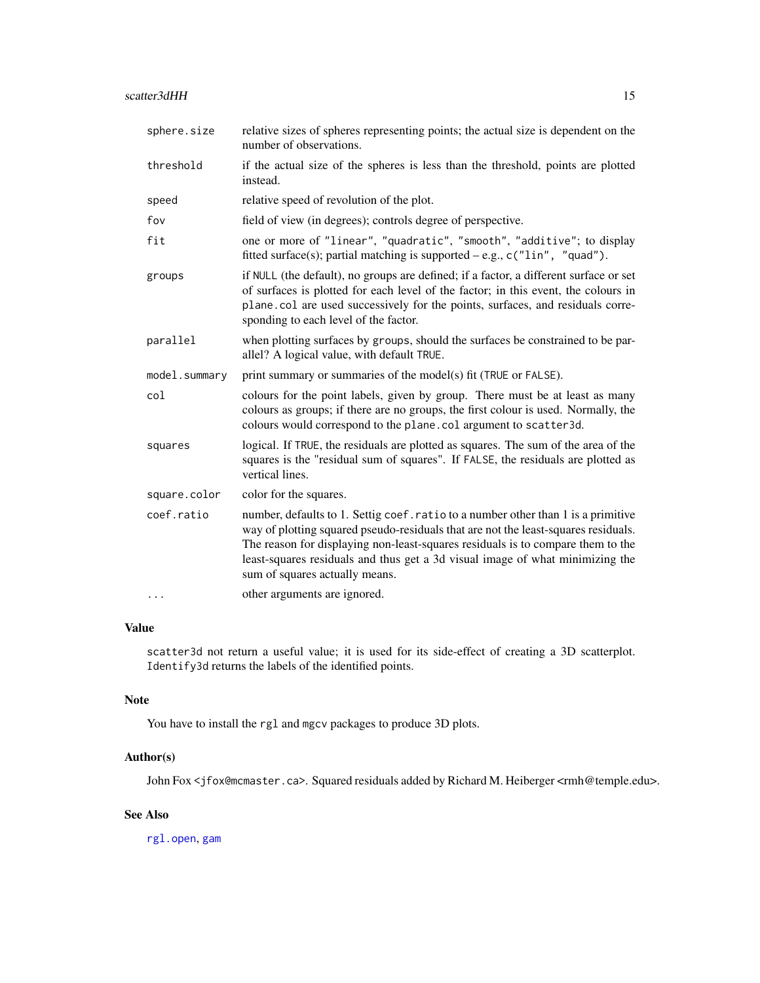<span id="page-14-0"></span>

| sphere.size   | relative sizes of spheres representing points; the actual size is dependent on the<br>number of observations.                                                                                                                                                                                                                                                                 |
|---------------|-------------------------------------------------------------------------------------------------------------------------------------------------------------------------------------------------------------------------------------------------------------------------------------------------------------------------------------------------------------------------------|
| threshold     | if the actual size of the spheres is less than the threshold, points are plotted<br>instead.                                                                                                                                                                                                                                                                                  |
| speed         | relative speed of revolution of the plot.                                                                                                                                                                                                                                                                                                                                     |
| fov           | field of view (in degrees); controls degree of perspective.                                                                                                                                                                                                                                                                                                                   |
| fit           | one or more of "linear", "quadratic", "smooth", "additive"; to display<br>fitted surface(s); partial matching is supported $-e.g., c("lin", "quad").$                                                                                                                                                                                                                         |
| groups        | if NULL (the default), no groups are defined; if a factor, a different surface or set<br>of surfaces is plotted for each level of the factor; in this event, the colours in<br>plane.col are used successively for the points, surfaces, and residuals corre-<br>sponding to each level of the factor.                                                                        |
| parallel      | when plotting surfaces by groups, should the surfaces be constrained to be par-<br>allel? A logical value, with default TRUE.                                                                                                                                                                                                                                                 |
| model.summary | print summary or summaries of the model(s) fit (TRUE or FALSE).                                                                                                                                                                                                                                                                                                               |
| col           | colours for the point labels, given by group. There must be at least as many<br>colours as groups; if there are no groups, the first colour is used. Normally, the<br>colours would correspond to the plane.col argument to scatter3d.                                                                                                                                        |
| squares       | logical. If TRUE, the residuals are plotted as squares. The sum of the area of the<br>squares is the "residual sum of squares". If FALSE, the residuals are plotted as<br>vertical lines.                                                                                                                                                                                     |
| square.color  | color for the squares.                                                                                                                                                                                                                                                                                                                                                        |
| coef.ratio    | number, defaults to 1. Settig coef. ratio to a number other than 1 is a primitive<br>way of plotting squared pseudo-residuals that are not the least-squares residuals.<br>The reason for displaying non-least-squares residuals is to compare them to the<br>least-squares residuals and thus get a 3d visual image of what minimizing the<br>sum of squares actually means. |
| .             | other arguments are ignored.                                                                                                                                                                                                                                                                                                                                                  |

#### Value

scatter3d not return a useful value; it is used for its side-effect of creating a 3D scatterplot. Identify3d returns the labels of the identified points.

#### Note

You have to install the rgl and mgcv packages to produce 3D plots.

#### Author(s)

John Fox <jfox@mcmaster.ca>. Squared residuals added by Richard M. Heiberger <rmh@temple.edu>.

#### See Also

[rgl.open](#page-0-0), [gam](#page-0-0)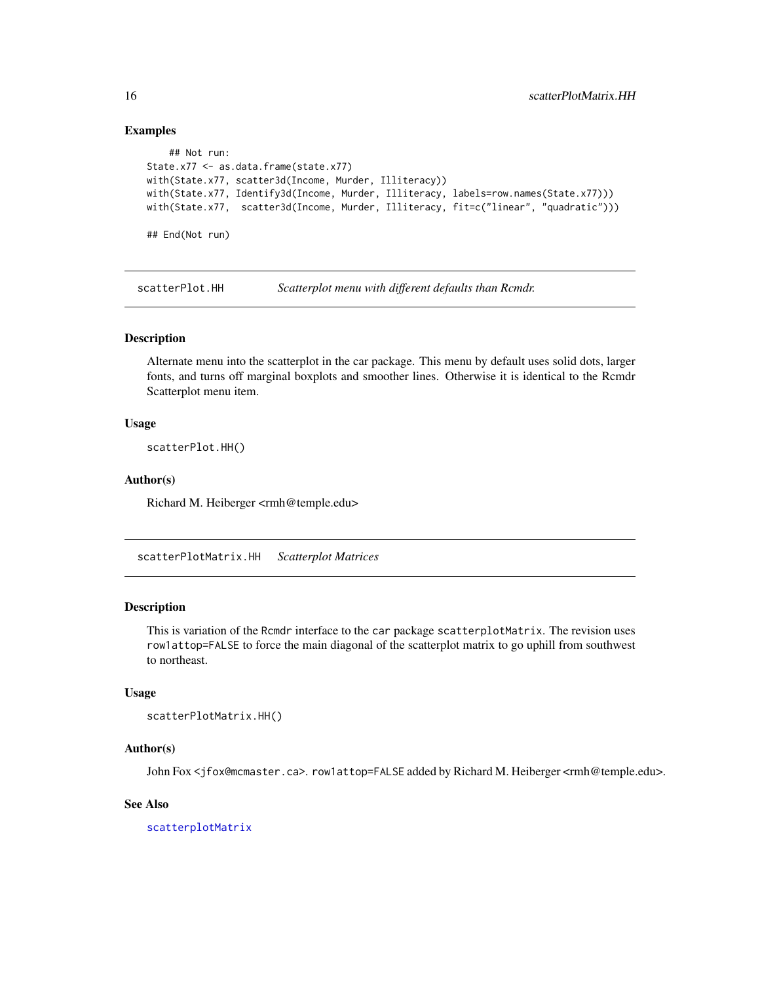#### Examples

```
## Not run:
State.x77 <- as.data.frame(state.x77)
with(State.x77, scatter3d(Income, Murder, Illiteracy))
with(State.x77, Identify3d(Income, Murder, Illiteracy, labels=row.names(State.x77)))
with(State.x77, scatter3d(Income, Murder, Illiteracy, fit=c("linear", "quadratic")))
## End(Not run)
```
scatterPlot.HH *Scatterplot menu with different defaults than Rcmdr.*

#### Description

Alternate menu into the scatterplot in the car package. This menu by default uses solid dots, larger fonts, and turns off marginal boxplots and smoother lines. Otherwise it is identical to the Rcmdr Scatterplot menu item.

#### Usage

scatterPlot.HH()

#### Author(s)

Richard M. Heiberger <rmh@temple.edu>

<span id="page-15-1"></span>scatterPlotMatrix.HH *Scatterplot Matrices*

#### Description

This is variation of the Rcmdr interface to the car package scatterplotMatrix. The revision uses row1attop=FALSE to force the main diagonal of the scatterplot matrix to go uphill from southwest to northeast.

#### Usage

```
scatterPlotMatrix.HH()
```
#### Author(s)

John Fox <jfox@mcmaster.ca>. row1attop=FALSE added by Richard M. Heiberger <rmh@temple.edu>.

#### See Also

[scatterplotMatrix](#page-0-0)

<span id="page-15-0"></span>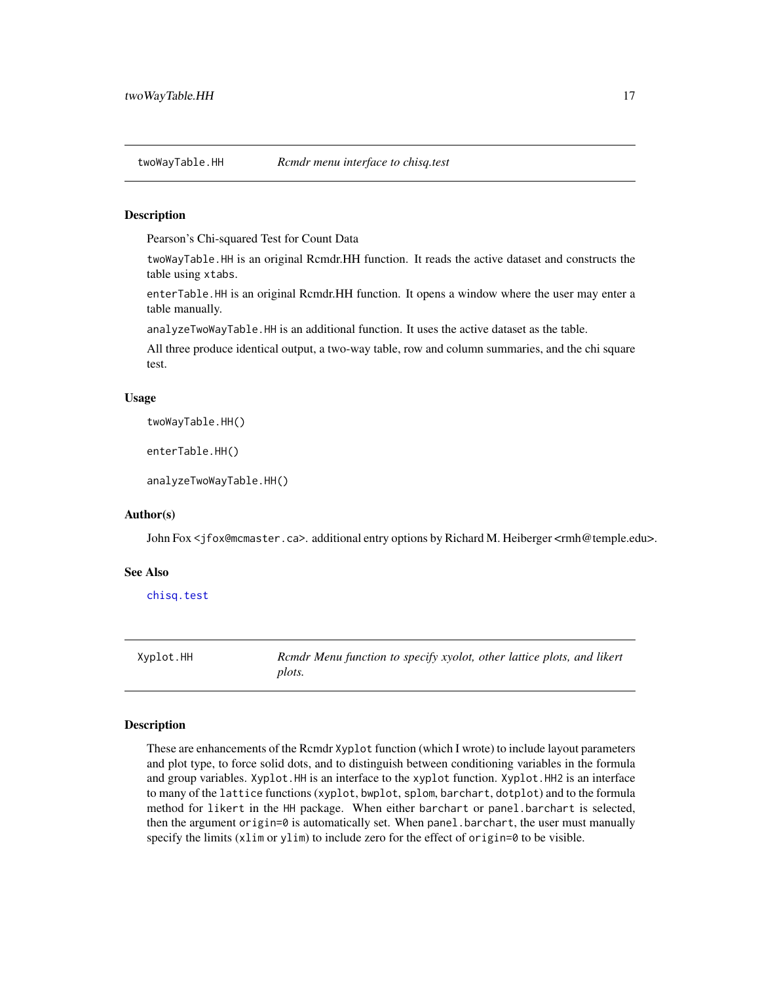<span id="page-16-1"></span><span id="page-16-0"></span>

#### Description

Pearson's Chi-squared Test for Count Data

twoWayTable.HH is an original Rcmdr.HH function. It reads the active dataset and constructs the table using xtabs.

enterTable.HH is an original Rcmdr.HH function. It opens a window where the user may enter a table manually.

analyzeTwoWayTable.HH is an additional function. It uses the active dataset as the table.

All three produce identical output, a two-way table, row and column summaries, and the chi square test.

#### Usage

twoWayTable.HH()

enterTable.HH()

analyzeTwoWayTable.HH()

#### Author(s)

John Fox <jfox@mcmaster.ca>. additional entry options by Richard M. Heiberger <rmh@temple.edu>.

#### See Also

[chisq.test](#page-0-0)

<span id="page-16-2"></span>Xyplot.HH *Rcmdr Menu function to specify xyolot, other lattice plots, and likert plots.*

#### **Description**

These are enhancements of the Rcmdr Xyplot function (which I wrote) to include layout parameters and plot type, to force solid dots, and to distinguish between conditioning variables in the formula and group variables. Xyplot.HH is an interface to the xyplot function. Xyplot.HH2 is an interface to many of the lattice functions (xyplot, bwplot, splom, barchart, dotplot) and to the formula method for likert in the HH package. When either barchart or panel.barchart is selected, then the argument origin=0 is automatically set. When panel.barchart, the user must manually specify the limits (xlim or ylim) to include zero for the effect of origin=0 to be visible.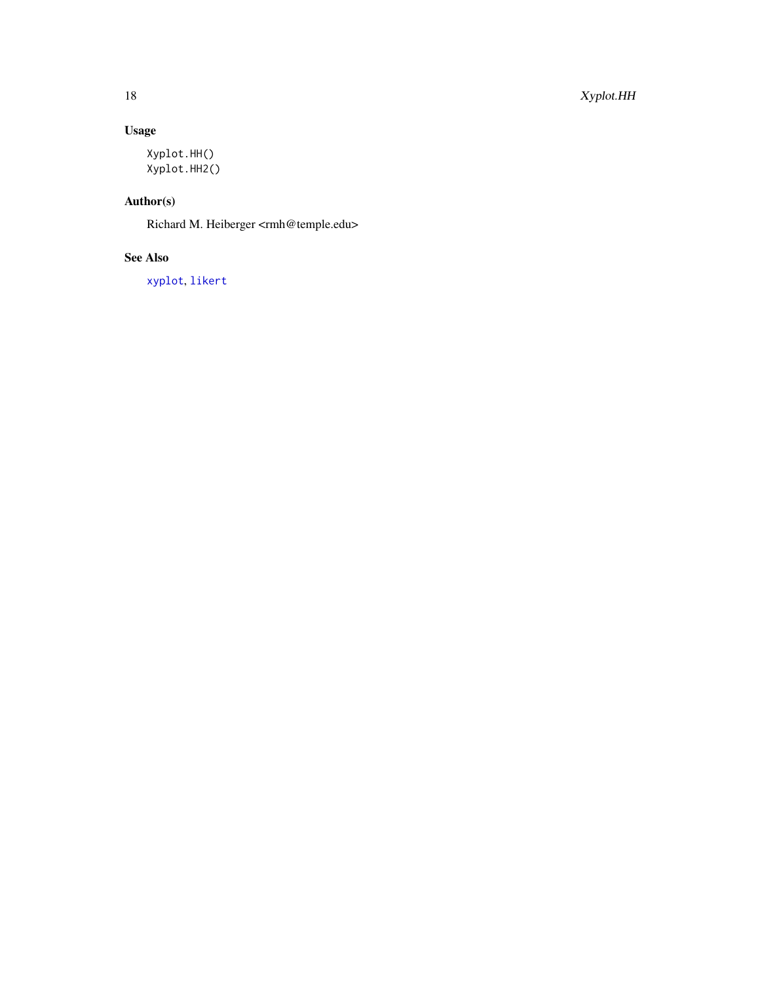# <span id="page-17-0"></span>Usage

```
Xyplot.HH()
Xyplot.HH2()
```
# Author(s)

Richard M. Heiberger <rmh@temple.edu>

# See Also

[xyplot](#page-0-0), [likert](#page-0-0)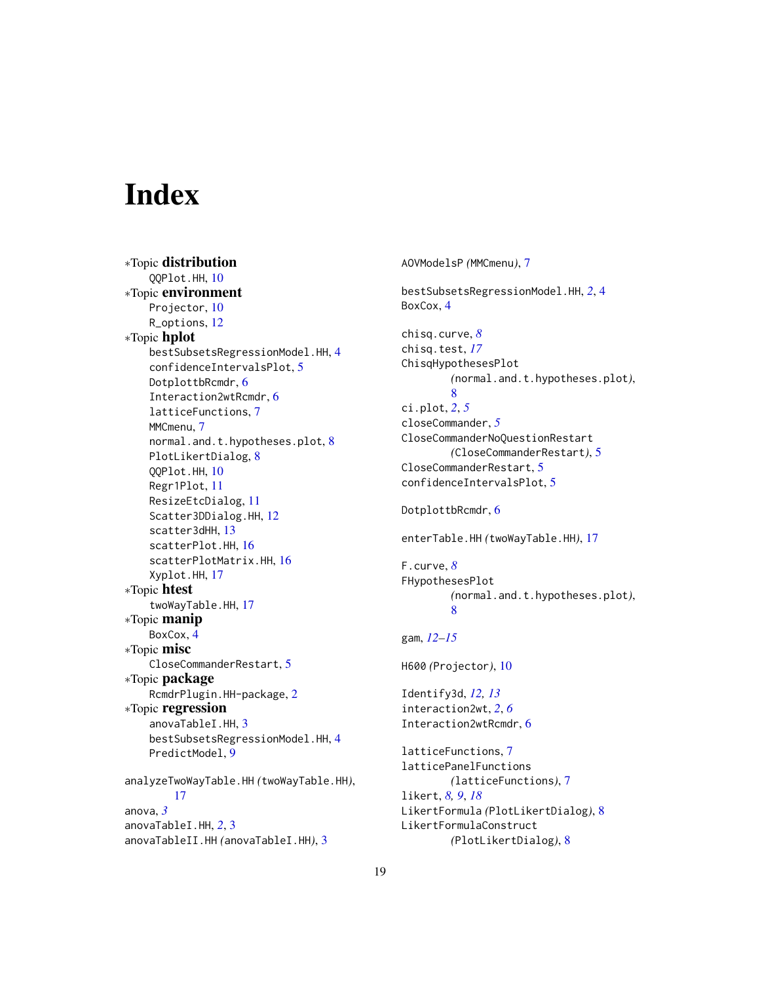# <span id="page-18-0"></span>**Index**

∗Topic distribution QQPlot.HH, [10](#page-9-0) ∗Topic environment Projector, [10](#page-9-0) R\_options, [12](#page-11-0) ∗Topic hplot bestSubsetsRegressionModel.HH, [4](#page-3-0) confidenceIntervalsPlot, [5](#page-4-0) DotplottbRcmdr, [6](#page-5-0) Interaction2wtRcmdr, [6](#page-5-0) latticeFunctions, [7](#page-6-0) MMCmenu, [7](#page-6-0) normal.and.t.hypotheses.plot, [8](#page-7-0) PlotLikertDialog, [8](#page-7-0) QQPlot.HH, [10](#page-9-0) Regr1Plot, [11](#page-10-0) ResizeEtcDialog, [11](#page-10-0) Scatter3DDialog.HH, [12](#page-11-0) scatter3dHH, [13](#page-12-0) scatterPlot.HH, [16](#page-15-0) scatterPlotMatrix.HH, [16](#page-15-0) Xyplot.HH, [17](#page-16-0) ∗Topic htest twoWayTable.HH, [17](#page-16-0) ∗Topic manip BoxCox, [4](#page-3-0) ∗Topic misc CloseCommanderRestart, [5](#page-4-0) ∗Topic package RcmdrPlugin.HH-package, [2](#page-1-0) ∗Topic regression anovaTableI.HH, [3](#page-2-0) bestSubsetsRegressionModel.HH, [4](#page-3-0) PredictModel, [9](#page-8-0) analyzeTwoWayTable.HH *(*twoWayTable.HH*)*, [17](#page-16-0) anova, *[3](#page-2-0)* anovaTableI.HH, *[2](#page-1-0)*, [3](#page-2-0)

anovaTableII.HH *(*anovaTableI.HH*)*, [3](#page-2-0)

AOVModelsP *(*MMCmenu*)*, [7](#page-6-0) bestSubsetsRegressionModel.HH, *[2](#page-1-0)*, [4](#page-3-0) BoxCox, [4](#page-3-0) chisq.curve, *[8](#page-7-0)* chisq.test, *[17](#page-16-0)* ChisqHypothesesPlot *(*normal.and.t.hypotheses.plot*)*, [8](#page-7-0) ci.plot, *[2](#page-1-0)*, *[5](#page-4-0)* closeCommander, *[5](#page-4-0)* CloseCommanderNoQuestionRestart *(*CloseCommanderRestart*)*, [5](#page-4-0) CloseCommanderRestart, [5](#page-4-0) confidenceIntervalsPlot, [5](#page-4-0) DotplottbRcmdr, [6](#page-5-0) enterTable.HH *(*twoWayTable.HH*)*, [17](#page-16-0) F.curve, *[8](#page-7-0)* FHypothesesPlot *(*normal.and.t.hypotheses.plot*)*, [8](#page-7-0) gam, *[12–](#page-11-0)[15](#page-14-0)* H600 *(*Projector*)*, [10](#page-9-0) Identify3d, *[12,](#page-11-0) [13](#page-12-0)* interaction2wt, *[2](#page-1-0)*, *[6](#page-5-0)* Interaction2wtRcmdr, [6](#page-5-0) latticeFunctions, [7](#page-6-0) latticePanelFunctions *(*latticeFunctions*)*, [7](#page-6-0) likert, *[8,](#page-7-0) [9](#page-8-0)*, *[18](#page-17-0)* LikertFormula *(*PlotLikertDialog*)*, [8](#page-7-0) LikertFormulaConstruct *(*PlotLikertDialog*)*, [8](#page-7-0)